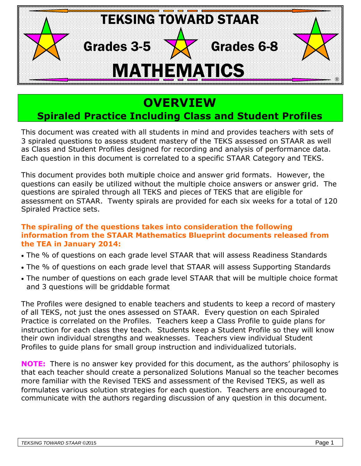

# **OVERVIEW**

## **Spiraled Practice Including Class and Student Profiles**

This document was created with all students in mind and provides teachers with sets of 3 spiraled questions to assess student mastery of the TEKS assessed on STAAR as well as Class and Student Profiles designed for recording and analysis of performance data. Each question in this document is correlated to a specific STAAR Category and TEKS.

This document provides both multiple choice and answer grid formats. However, the questions can easily be utilized without the multiple choice answers or answer grid. The questions are spiraled through all TEKS and pieces of TEKS that are eligible for assessment on STAAR. Twenty spirals are provided for each six weeks for a total of 120 Spiraled Practice sets.

#### **The spiraling of the questions takes into consideration the following information from the STAAR Mathematics Blueprint documents released from the TEA in January 2014:**

- The % of questions on each grade level STAAR that will assess Readiness Standards
- The % of questions on each grade level that STAAR will assess Supporting Standards
- The number of questions on each grade level STAAR that will be multiple choice format and 3 questions will be griddable format

The Profiles were designed to enable teachers and students to keep a record of mastery of all TEKS, not just the ones assessed on STAAR. Every question on each Spiraled Practice is correlated on the Profiles. Teachers keep a Class Profile to guide plans for instruction for each class they teach. Students keep a Student Profile so they will know their own individual strengths and weaknesses. Teachers view individual Student Profiles to guide plans for small group instruction and individualized tutorials.

**NOTE:** There is no answer key provided for this document, as the authors' philosophy is that each teacher should create a personalized Solutions Manual so the teacher becomes more familiar with the Revised TEKS and assessment of the Revised TEKS, as well as formulates various solution strategies for each question. Teachers are encouraged to communicate with the authors regarding discussion of any question in this document.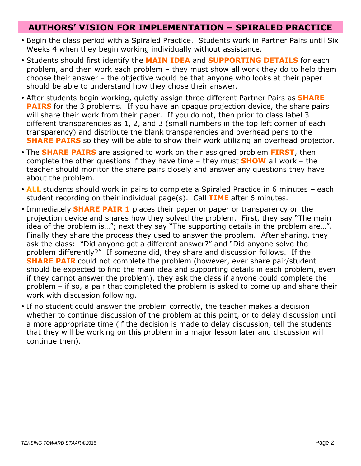### **AUTHORS' VISION FOR IMPLEMENTATION – SPIRALED PRACTICE**

- Begin the class period with a Spiraled Practice. Students work in Partner Pairs until Six Weeks 4 when they begin working individually without assistance.
- Students should first identify the **MAIN IDEA** and **SUPPORTING DETAILS** for each problem, and then work each problem – they must show all work they do to help them choose their answer – the objective would be that anyone who looks at their paper should be able to understand how they chose their answer.
- After students begin working, quietly assign three different Partner Pairs as **SHARE PAIRS** for the 3 problems. If you have an opaque projection device, the share pairs will share their work from their paper. If you do not, then prior to class label 3 different transparencies as 1, 2, and 3 (small numbers in the top left corner of each transparency) and distribute the blank transparencies and overhead pens to the **SHARE PAIRS** so they will be able to show their work utilizing an overhead projector.
- The **SHARE PAIRS** are assigned to work on their assigned problem **FIRST**, then complete the other questions if they have time – they must **SHOW** all work – the teacher should monitor the share pairs closely and answer any questions they have about the problem.
- **ALL** students should work in pairs to complete a Spiraled Practice in 6 minutes each student recording on their individual page(s). Call **TIME** after 6 minutes.
- Immediately **SHARE PAIR 1** places their paper or paper or transparency on the projection device and shares how they solved the problem. First, they say "The main idea of the problem is…"; next they say "The supporting details in the problem are…". Finally they share the process they used to answer the problem. After sharing, they ask the class: "Did anyone get a different answer?" and "Did anyone solve the problem differently?" If someone did, they share and discussion follows. If the **SHARE PAIR** could not complete the problem (however, ever share pair/student should be expected to find the main idea and supporting details in each problem, even if they cannot answer the problem), they ask the class if anyone could complete the problem – if so, a pair that completed the problem is asked to come up and share their work with discussion following.
- If no student could answer the problem correctly, the teacher makes a decision whether to continue discussion of the problem at this point, or to delay discussion until a more appropriate time (if the decision is made to delay discussion, tell the students that they will be working on this problem in a major lesson later and discussion will continue then).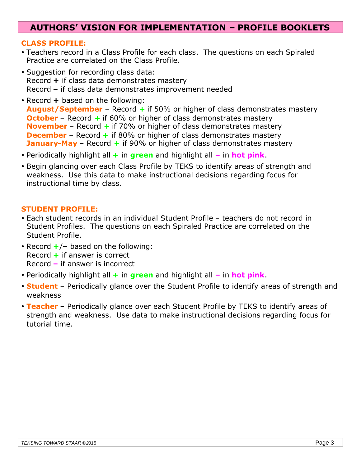### **AUTHORS' VISION FOR IMPLEMENTATION – PROFILE BOOKLETS**

#### **CLASS PROFILE:**

- Teachers record in a Class Profile for each class. The questions on each Spiraled Practice are correlated on the Class Profile.
- Suggestion for recording class data: Record **+** if class data demonstrates mastery Record **–** if class data demonstrates improvement needed
- Record **+** based on the following: **August/September** – Record **+** if 50% or higher of class demonstrates mastery **October** – Record + if 60% or higher of class demonstrates mastery **November** – Record **+** if 70% or higher of class demonstrates mastery **December** – Record + if 80% or higher of class demonstrates mastery **January-May** – Record **+** if 90% or higher of class demonstrates mastery
- Periodically highlight all **+** in **green** and highlight all **–** in **hot pink**.
- Begin glancing over each Class Profile by TEKS to identify areas of strength and weakness. Use this data to make instructional decisions regarding focus for instructional time by class.

#### **STUDENT PROFILE:**

- Each student records in an individual Student Profile teachers do not record in Student Profiles. The questions on each Spiraled Practice are correlated on the Student Profile.
- Record **+**/**–** based on the following: Record **+** if answer is correct Record **–** if answer is incorrect
- Periodically highlight all **+** in **green** and highlight all **–** in **hot pink**.
- **Student** Periodically glance over the Student Profile to identify areas of strength and weakness
- **Teacher** Periodically glance over each Student Profile by TEKS to identify areas of strength and weakness. Use data to make instructional decisions regarding focus for tutorial time.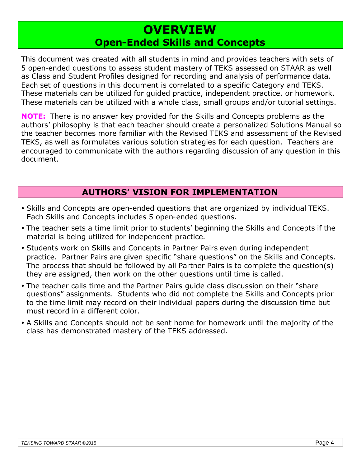## **OVERVIEW Open-Ended Skills and Concepts**

This document was created with all students in mind and provides teachers with sets of 5 open-ended questions to assess student mastery of TEKS assessed on STAAR as well as Class and Student Profiles designed for recording and analysis of performance data. Each set of questions in this document is correlated to a specific Category and TEKS. These materials can be utilized for guided practice, independent practice, or homework. These materials can be utilized with a whole class, small groups and/or tutorial settings.

**NOTE:** There is no answer key provided for the Skills and Concepts problems as the authors' philosophy is that each teacher should create a personalized Solutions Manual so the teacher becomes more familiar with the Revised TEKS and assessment of the Revised TEKS, as well as formulates various solution strategies for each question. Teachers are encouraged to communicate with the authors regarding discussion of any question in this document.

## **AUTHORS' VISION FOR IMPLEMENTATION**

- Skills and Concepts are open-ended questions that are organized by individual TEKS. Each Skills and Concepts includes 5 open-ended questions.
- The teacher sets a time limit prior to students' beginning the Skills and Concepts if the material is being utilized for independent practice.
- Students work on Skills and Concepts in Partner Pairs even during independent practice. Partner Pairs are given specific "share questions" on the Skills and Concepts. The process that should be followed by all Partner Pairs is to complete the question(s) they are assigned, then work on the other questions until time is called.
- The teacher calls time and the Partner Pairs guide class discussion on their "share questions" assignments. Students who did not complete the Skills and Concepts prior to the time limit may record on their individual papers during the discussion time but must record in a different color.
- A Skills and Concepts should not be sent home for homework until the majority of the class has demonstrated mastery of the TEKS addressed.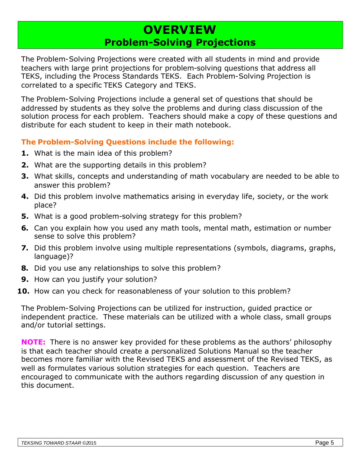## **OVERVIEW Problem-Solving Projections**

The Problem-Solving Projections were created with all students in mind and provide teachers with large print projections for problem-solving questions that address all TEKS, including the Process Standards TEKS. Each Problem-Solving Projection is correlated to a specific TEKS Category and TEKS.

The Problem-Solving Projections include a general set of questions that should be addressed by students as they solve the problems and during class discussion of the solution process for each problem. Teachers should make a copy of these questions and distribute for each student to keep in their math notebook.

#### **The Problem-Solving Questions include the following:**

- **1.** What is the main idea of this problem?
- **2.** What are the supporting details in this problem?
- **3.** What skills, concepts and understanding of math vocabulary are needed to be able to answer this problem?
- **4.** Did this problem involve mathematics arising in everyday life, society, or the work place?
- **5.** What is a good problem-solving strategy for this problem?
- **6.** Can you explain how you used any math tools, mental math, estimation or number sense to solve this problem?
- **7.** Did this problem involve using multiple representations (symbols, diagrams, graphs, language)?
- **8.** Did you use any relationships to solve this problem?
- **9.** How can you justify your solution?
- **10.** How can you check for reasonableness of your solution to this problem?

The Problem-Solving Projections can be utilized for instruction, guided practice or independent practice. These materials can be utilized with a whole class, small groups and/or tutorial settings.

**NOTE:** There is no answer key provided for these problems as the authors' philosophy is that each teacher should create a personalized Solutions Manual so the teacher becomes more familiar with the Revised TEKS and assessment of the Revised TEKS, as well as formulates various solution strategies for each question. Teachers are encouraged to communicate with the authors regarding discussion of any question in this document.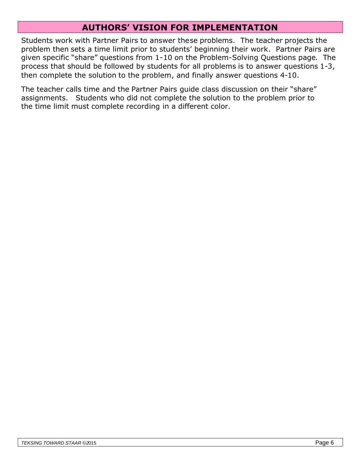## **AUTHORS' VISION FOR IMPLEMENTATION**

Students work with Partner Pairs to answer these problems. The teacher projects the problem then sets a time limit prior to students' beginning their work. Partner Pairs are given specific "share" questions from 1-10 on the Problem-Solving Questions page. The process that should be followed by students for all problems is to answer questions 1-3, then complete the solution to the problem, and finally answer questions 4-10.

The teacher calls time and the Partner Pairs guide class discussion on their "share" assignments. Students who did not complete the solution to the problem prior to the time limit must complete recording in a different color.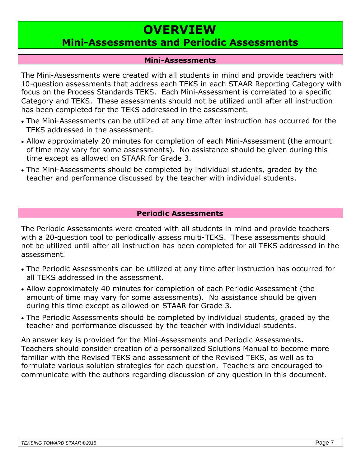# **OVERVIEW**

## **Mini-Assessments and Periodic Assessments**

#### **Mini-Assessments**

The Mini-Assessments were created with all students in mind and provide teachers with 10-question assessments that address each TEKS in each STAAR Reporting Category with focus on the Process Standards TEKS. Each Mini-Assessment is correlated to a specific Category and TEKS. These assessments should not be utilized until after all instruction has been completed for the TEKS addressed in the assessment.

- The Mini-Assessments can be utilized at any time after instruction has occurred for the TEKS addressed in the assessment.
- Allow approximately 20 minutes for completion of each Mini-Assessment (the amount of time may vary for some assessments). No assistance should be given during this time except as allowed on STAAR for Grade 3.
- The Mini-Assessments should be completed by individual students, graded by the teacher and performance discussed by the teacher with individual students.

#### **Periodic Assessments**

The Periodic Assessments were created with all students in mind and provide teachers with a 20-question tool to periodically assess multi-TEKS. These assessments should not be utilized until after all instruction has been completed for all TEKS addressed in the assessment.

- The Periodic Assessments can be utilized at any time after instruction has occurred for all TEKS addressed in the assessment.
- Allow approximately 40 minutes for completion of each Periodic Assessment (the amount of time may vary for some assessments). No assistance should be given during this time except as allowed on STAAR for Grade 3.
- The Periodic Assessments should be completed by individual students, graded by the teacher and performance discussed by the teacher with individual students.

An answer key is provided for the Mini-Assessments and Periodic Assessments. Teachers should consider creation of a personalized Solutions Manual to become more familiar with the Revised TEKS and assessment of the Revised TEKS, as well as to formulate various solution strategies for each question. Teachers are encouraged to communicate with the authors regarding discussion of any question in this document.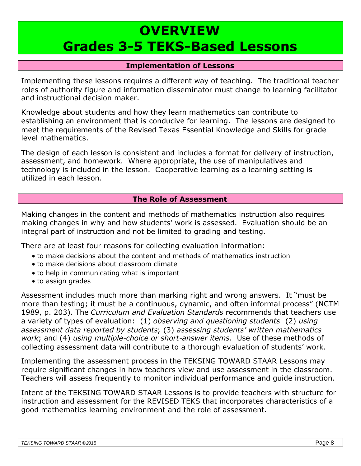# **OVERVIEW Grades 3-5 TEKS-Based Lessons**

#### **Implementation of Lessons**

Implementing these lessons requires a different way of teaching. The traditional teacher roles of authority figure and information disseminator must change to learning facilitator and instructional decision maker.

Knowledge about students and how they learn mathematics can contribute to establishing an environment that is conducive for learning. The lessons are designed to meet the requirements of the Revised Texas Essential Knowledge and Skills for grade level mathematics.

The design of each lesson is consistent and includes a format for delivery of instruction, assessment, and homework. Where appropriate, the use of manipulatives and technology is included in the lesson. Cooperative learning as a learning setting is utilized in each lesson.

#### **The Role of Assessment**

Making changes in the content and methods of mathematics instruction also requires making changes in why and how students' work is assessed. Evaluation should be an integral part of instruction and not be limited to grading and testing.

There are at least four reasons for collecting evaluation information:

- to make decisions about the content and methods of mathematics instruction
- to make decisions about classroom climate
- to help in communicating what is important
- to assign grades

Assessment includes much more than marking right and wrong answers. It "must be more than testing; it must be a continuous, dynamic, and often informal process" (NCTM 1989, p. 203). The *Curriculum and Evaluation Standards* recommends that teachers use a variety of types of evaluation: (1) *observing and questioning students* (2) *using assessment data reported by students*; (3) *assessing students' written mathematics work*; and (4) *using multiple-choice or short-answer items.* Use of these methods of collecting assessment data will contribute to a thorough evaluation of students' work.

Implementing the assessment process in the TEKSING TOWARD STAAR Lessons may require significant changes in how teachers view and use assessment in the classroom. Teachers will assess frequently to monitor individual performance and guide instruction.

Intent of the TEKSING TOWARD STAAR Lessons is to provide teachers with structure for instruction and assessment for the REVISED TEKS that incorporates characteristics of a good mathematics learning environment and the role of assessment.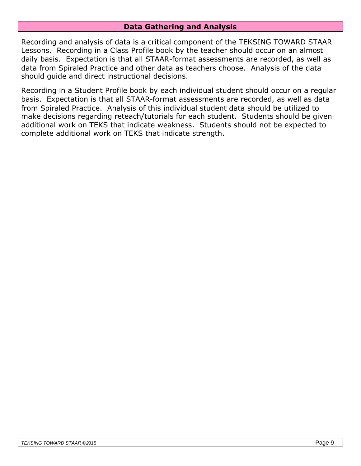#### **Data Gathering and Analysis**

Recording and analysis of data is a critical component of the TEKSING TOWARD STAAR Lessons. Recording in a Class Profile book by the teacher should occur on an almost daily basis. Expectation is that all STAAR-format assessments are recorded, as well as data from Spiraled Practice and other data as teachers choose. Analysis of the data should guide and direct instructional decisions.

Recording in a Student Profile book by each individual student should occur on a regular basis. Expectation is that all STAAR-format assessments are recorded, as well as data from Spiraled Practice. Analysis of this individual student data should be utilized to make decisions regarding reteach/tutorials for each student. Students should be given additional work on TEKS that indicate weakness. Students should not be expected to complete additional work on TEKS that indicate strength.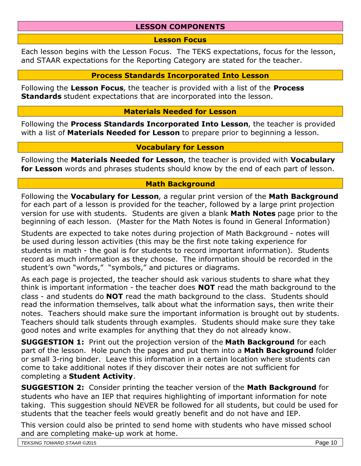#### **LESSON COMPONENTS**

#### **Lesson Focus**

Each lesson begins with the Lesson Focus. The TEKS expectations, focus for the lesson, and STAAR expectations for the Reporting Category are stated for the teacher.

#### **Process Standards Incorporated Into Lesson**

Following the **Lesson Focus**, the teacher is provided with a list of the **Process Standards** student expectations that are incorporated into the lesson.

#### **Materials Needed for Lesson**

Following the **Process Standards Incorporated Into Lesson**, the teacher is provided with a list of **Materials Needed for Lesson** to prepare prior to beginning a lesson.

#### **Vocabulary for Lesson**

Following the **Materials Needed for Lesson**, the teacher is provided with **Vocabulary for Lesson** words and phrases students should know by the end of each part of lesson.

#### **Math Background**

Following the **Vocabulary for Lesson**, a regular print version of the **Math Background** for each part of a lesson is provided for the teacher, followed by a large print projection version for use with students. Students are given a blank **Math Notes** page prior to the beginning of each lesson. (Master for the Math Notes is found in General Information)

Students are expected to take notes during projection of Math Background - notes will be used during lesson activities (this may be the first note taking experience for students in math - the goal is for students to record important information). Students record as much information as they choose. The information should be recorded in the student's own "words," "symbols," and pictures or diagrams.

As each page is projected, the teacher should ask various students to share what they think is important information - the teacher does **NOT** read the math background to the class - and students do **NOT** read the math background to the class. Students should read the information themselves, talk about what the information says, then write their notes. Teachers should make sure the important information is brought out by students. Teachers should talk students through examples. Students should make sure they take good notes and write examples for anything that they do not already know.

**SUGGESTION 1:** Print out the projection version of the **Math Background** for each part of the lesson. Hole punch the pages and put them into a **Math Background** folder or small 3-ring binder. Leave this information in a certain location where students can come to take additional notes if they discover their notes are not sufficient for completing a **Student Activity**.

**SUGGESTION 2:** Consider printing the teacher version of the **Math Background** for students who have an IEP that requires highlighting of important information for note taking. This suggestion should NEVER be followed for all students, but could be used for students that the teacher feels would greatly benefit and do not have and IEP.

This version could also be printed to send home with students who have missed school and are completing make-up work at home.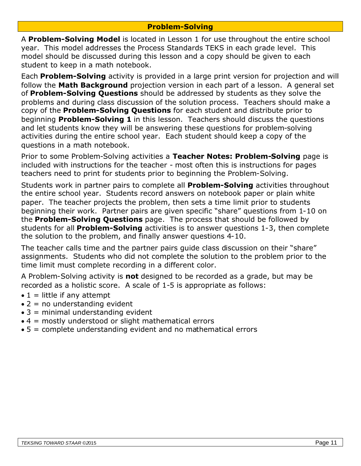#### **Problem-Solving**

A **Problem-Solving Model** is located in Lesson 1 for use throughout the entire school year. This model addresses the Process Standards TEKS in each grade level. This model should be discussed during this lesson and a copy should be given to each student to keep in a math notebook.

Each **Problem-Solving** activity is provided in a large print version for projection and will follow the **Math Background** projection version in each part of a lesson. A general set of **Problem-Solving Questions** should be addressed by students as they solve the problems and during class discussion of the solution process. Teachers should make a copy of the **Problem-Solving Questions** for each student and distribute prior to beginning **Problem-Solving 1** in this lesson. Teachers should discuss the questions and let students know they will be answering these questions for problem-solving activities during the entire school year. Each student should keep a copy of the questions in a math notebook.

Prior to some Problem-Solving activities a **Teacher Notes: Problem-Solving** page is included with instructions for the teacher - most often this is instructions for pages teachers need to print for students prior to beginning the Problem-Solving.

Students work in partner pairs to complete all **Problem-Solving** activities throughout the entire school year. Students record answers on notebook paper or plain white paper. The teacher projects the problem, then sets a time limit prior to students beginning their work. Partner pairs are given specific "share" questions from 1-10 on the **Problem-Solving Questions** page. The process that should be followed by students for all **Problem-Solving** activities is to answer questions 1-3, then complete the solution to the problem, and finally answer questions 4-10.

The teacher calls time and the partner pairs guide class discussion on their "share" assignments. Students who did not complete the solution to the problem prior to the time limit must complete recording in a different color.

A Problem-Solving activity is **not** designed to be recorded as a grade, but may be recorded as a holistic score. A scale of 1-5 is appropriate as follows:

- $\bullet$  1 = little if any attempt
- $\bullet$  2 = no understanding evident
- $\bullet$  3 = minimal understanding evident
- $\bullet$  4 = mostly understood or slight mathematical errors
- 5 = complete understanding evident and no mathematical errors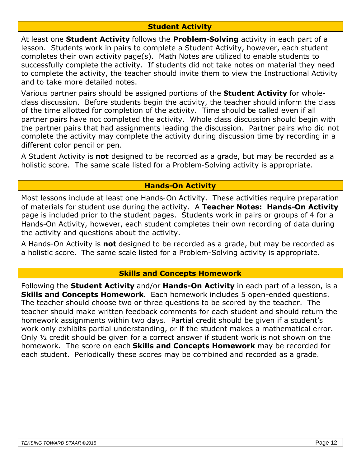#### **Student Activity**

At least one **Student Activity** follows the **Problem-Solving** activity in each part of a lesson. Students work in pairs to complete a Student Activity, however, each student completes their own activity page(s). Math Notes are utilized to enable students to successfully complete the activity. If students did not take notes on material they need to complete the activity, the teacher should invite them to view the Instructional Activity and to take more detailed notes.

Various partner pairs should be assigned portions of the **Student Activity** for wholeclass discussion. Before students begin the activity, the teacher should inform the class of the time allotted for completion of the activity. Time should be called even if all partner pairs have not completed the activity. Whole class discussion should begin with the partner pairs that had assignments leading the discussion. Partner pairs who did not complete the activity may complete the activity during discussion time by recording in a different color pencil or pen.

A Student Activity is **not** designed to be recorded as a grade, but may be recorded as a holistic score. The same scale listed for a Problem-Solving activity is appropriate.

#### **Hands-On Activity**

Most lessons include at least one Hands-On Activity. These activities require preparation of materials for student use during the activity. A **Teacher Notes: Hands-On Activity** page is included prior to the student pages. Students work in pairs or groups of 4 for a Hands-On Activity, however, each student completes their own recording of data during the activity and questions about the activity.

A Hands-On Activity is **not** designed to be recorded as a grade, but may be recorded as a holistic score. The same scale listed for a Problem-Solving activity is appropriate.

#### **Skills and Concepts Homework**

Following the **Student Activity** and/or **Hands-On Activity** in each part of a lesson, is a **Skills and Concepts Homework**. Each homework includes 5 open-ended questions. The teacher should choose two or three questions to be scored by the teacher. The teacher should make written feedback comments for each student and should return the homework assignments within two days. Partial credit should be given if a student's work only exhibits partial understanding, or if the student makes a mathematical error. Only ½ credit should be given for a correct answer if student work is not shown on the homework. The score on each **Skills and Concepts Homework** may be recorded for each student. Periodically these scores may be combined and recorded as a grade.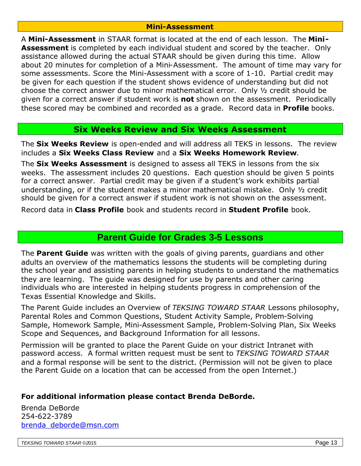#### **Mini-Assessment**

A **Mini-Assessment** in STAAR format is located at the end of each lesson. The **Mini-Assessment** is completed by each individual student and scored by the teacher. Only assistance allowed during the actual STAAR should be given during this time. Allow about 20 minutes for completion of a Mini-Assessment. The amount of time may vary for some assessments. Score the Mini-Assessment with a score of 1-10. Partial credit may be given for each question if the student shows evidence of understanding but did not choose the correct answer due to minor mathematical error. Only ½ credit should be given for a correct answer if student work is **not** shown on the assessment. Periodically these scored may be combined and recorded as a grade. Record data in **Profile** books.

#### **Six Weeks Review and Six Weeks Assessment**

The **Six Weeks Review** is open-ended and will address all TEKS in lessons. The review includes a **Six Weeks Class Review** and a **Six Weeks Homework Review**.

The **Six Weeks Assessment** is designed to assess all TEKS in lessons from the six weeks. The assessment includes 20 questions. Each question should be given 5 points for a correct answer. Partial credit may be given if a student's work exhibits partial understanding, or if the student makes a minor mathematical mistake. Only ½ credit should be given for a correct answer if student work is not shown on the assessment.

Record data in **Class Profile** book and students record in **Student Profile** book.

## **Parent Guide for Grades 3-5 Lessons**

The **Parent Guide** was written with the goals of giving parents, guardians and other adults an overview of the mathematics lessons the students will be completing during the school year and assisting parents in helping students to understand the mathematics they are learning. The guide was designed for use by parents and other caring individuals who are interested in helping students progress in comprehension of the Texas Essential Knowledge and Skills.

The Parent Guide includes an Overview of *TEKSING TOWARD STAAR* Lessons philosophy, Parental Roles and Common Questions, Student Activity Sample, Problem-Solving Sample, Homework Sample, Mini-Assessment Sample, Problem-Solving Plan, Six Weeks Scope and Sequences, and Background Information for all lessons.

Permission will be granted to place the Parent Guide on your district Intranet with password access. A formal written request must be sent to *TEKSING TOWARD STAAR* and a formal response will be sent to the district. (Permission will not be given to place the Parent Guide on a location that can be accessed from the open Internet.)

#### **For additional information please contact Brenda DeBorde.**

Brenda DeBorde 254-622-3789 brenda\_deborde@msn.com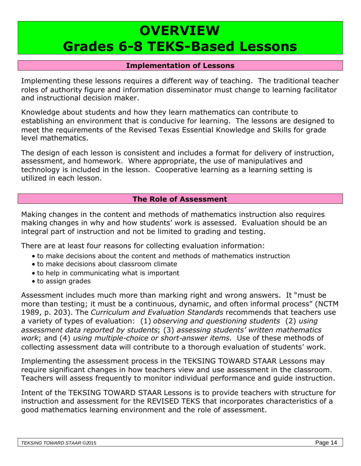# **OVERVIEW Grades 6-8 TEKS-Based Lessons**

#### **Implementation of Lessons**

Implementing these lessons requires a different way of teaching. The traditional teacher roles of authority figure and information disseminator must change to learning facilitator and instructional decision maker.

Knowledge about students and how they learn mathematics can contribute to establishing an environment that is conducive for learning. The lessons are designed to meet the requirements of the Revised Texas Essential Knowledge and Skills for grade level mathematics.

The design of each lesson is consistent and includes a format for delivery of instruction, assessment, and homework. Where appropriate, the use of manipulatives and technology is included in the lesson. Cooperative learning as a learning setting is utilized in each lesson.

#### **The Role of Assessment**

Making changes in the content and methods of mathematics instruction also requires making changes in why and how students' work is assessed. Evaluation should be an integral part of instruction and not be limited to grading and testing.

There are at least four reasons for collecting evaluation information:

- to make decisions about the content and methods of mathematics instruction
- to make decisions about classroom climate
- to help in communicating what is important
- to assign grades

Assessment includes much more than marking right and wrong answers. It "must be more than testing; it must be a continuous, dynamic, and often informal process" (NCTM 1989, p. 203). The *Curriculum and Evaluation Standards* recommends that teachers use a variety of types of evaluation: (1) *observing and questioning students* (2) *using assessment data reported by students*; (3) *assessing students' written mathematics work*; and (4) *using multiple-choice or short-answer items.* Use of these methods of collecting assessment data will contribute to a thorough evaluation of students' work.

Implementing the assessment process in the TEKSING TOWARD STAAR Lessons may require significant changes in how teachers view and use assessment in the classroom. Teachers will assess frequently to monitor individual performance and guide instruction.

Intent of the TEKSING TOWARD STAAR Lessons is to provide teachers with structure for instruction and assessment for the REVISED TEKS that incorporates characteristics of a good mathematics learning environment and the role of assessment.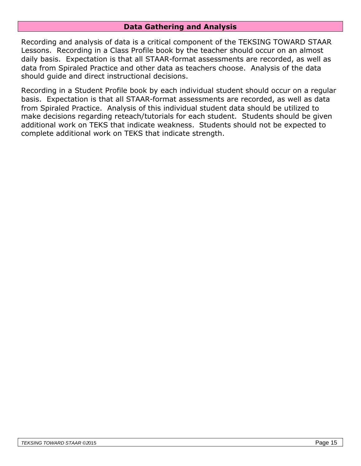#### **Data Gathering and Analysis**

Recording and analysis of data is a critical component of the TEKSING TOWARD STAAR Lessons. Recording in a Class Profile book by the teacher should occur on an almost daily basis. Expectation is that all STAAR-format assessments are recorded, as well as data from Spiraled Practice and other data as teachers choose. Analysis of the data should guide and direct instructional decisions.

Recording in a Student Profile book by each individual student should occur on a regular basis. Expectation is that all STAAR-format assessments are recorded, as well as data from Spiraled Practice. Analysis of this individual student data should be utilized to make decisions regarding reteach/tutorials for each student. Students should be given additional work on TEKS that indicate weakness. Students should not be expected to complete additional work on TEKS that indicate strength.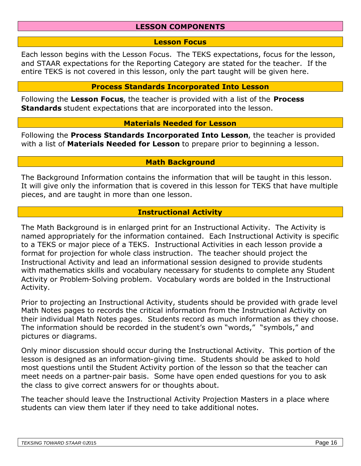#### **LESSON COMPONENTS**

#### **Lesson Focus**

Each lesson begins with the Lesson Focus. The TEKS expectations, focus for the lesson, and STAAR expectations for the Reporting Category are stated for the teacher. If the entire TEKS is not covered in this lesson, only the part taught will be given here.

#### **Process Standards Incorporated Into Lesson**

Following the **Lesson Focus**, the teacher is provided with a list of the **Process Standards** student expectations that are incorporated into the lesson.

#### **Materials Needed for Lesson**

Following the **Process Standards Incorporated Into Lesson**, the teacher is provided with a list of **Materials Needed for Lesson** to prepare prior to beginning a lesson.

#### **Math Background**

The Background Information contains the information that will be taught in this lesson. It will give only the information that is covered in this lesson for TEKS that have multiple pieces, and are taught in more than one lesson.

#### **Instructional Activity**

The Math Background is in enlarged print for an Instructional Activity. The Activity is named appropriately for the information contained. Each Instructional Activity is specific to a TEKS or major piece of a TEKS. Instructional Activities in each lesson provide a format for projection for whole class instruction. The teacher should project the Instructional Activity and lead an informational session designed to provide students with mathematics skills and vocabulary necessary for students to complete any Student Activity or Problem-Solving problem. Vocabulary words are bolded in the Instructional Activity.

Prior to projecting an Instructional Activity, students should be provided with grade level Math Notes pages to records the critical information from the Instructional Activity on their individual Math Notes pages. Students record as much information as they choose. The information should be recorded in the student's own "words," "symbols," and pictures or diagrams.

Only minor discussion should occur during the Instructional Activity. This portion of the lesson is designed as an information-giving time. Students should be asked to hold most questions until the Student Activity portion of the lesson so that the teacher can meet needs on a partner-pair basis. Some have open ended questions for you to ask the class to give correct answers for or thoughts about.

The teacher should leave the Instructional Activity Projection Masters in a place where students can view them later if they need to take additional notes.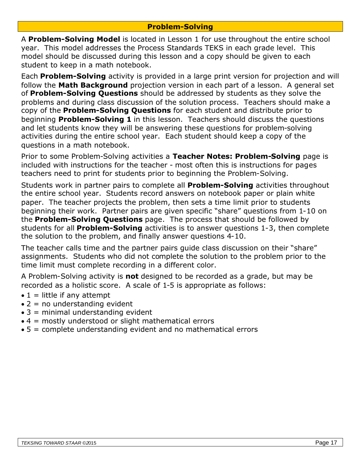#### **Problem-Solving**

A **Problem-Solving Model** is located in Lesson 1 for use throughout the entire school year. This model addresses the Process Standards TEKS in each grade level. This model should be discussed during this lesson and a copy should be given to each student to keep in a math notebook.

Each **Problem-Solving** activity is provided in a large print version for projection and will follow the **Math Background** projection version in each part of a lesson. A general set of **Problem-Solving Questions** should be addressed by students as they solve the problems and during class discussion of the solution process. Teachers should make a copy of the **Problem-Solving Questions** for each student and distribute prior to beginning **Problem-Solving 1** in this lesson. Teachers should discuss the questions and let students know they will be answering these questions for problem-solving activities during the entire school year. Each student should keep a copy of the questions in a math notebook.

Prior to some Problem-Solving activities a **Teacher Notes: Problem-Solving** page is included with instructions for the teacher - most often this is instructions for pages teachers need to print for students prior to beginning the Problem-Solving.

Students work in partner pairs to complete all **Problem-Solving** activities throughout the entire school year. Students record answers on notebook paper or plain white paper. The teacher projects the problem, then sets a time limit prior to students beginning their work. Partner pairs are given specific "share" questions from 1-10 on the **Problem-Solving Questions** page. The process that should be followed by students for all **Problem-Solving** activities is to answer questions 1-3, then complete the solution to the problem, and finally answer questions 4-10.

The teacher calls time and the partner pairs guide class discussion on their "share" assignments. Students who did not complete the solution to the problem prior to the time limit must complete recording in a different color.

A Problem-Solving activity is **not** designed to be recorded as a grade, but may be recorded as a holistic score. A scale of 1-5 is appropriate as follows:

- $\bullet$  1 = little if any attempt
- $\bullet$  2 = no understanding evident
- $\bullet$  3 = minimal understanding evident
- $\bullet$  4 = mostly understood or slight mathematical errors
- 5 = complete understanding evident and no mathematical errors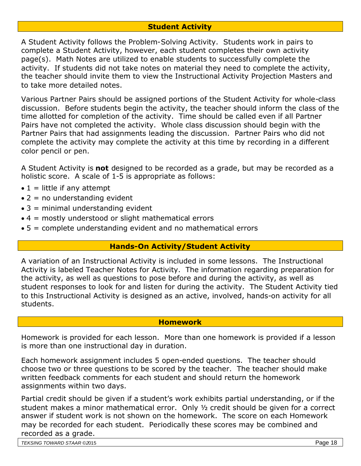#### **Student Activity**

A Student Activity follows the Problem-Solving Activity. Students work in pairs to complete a Student Activity, however, each student completes their own activity page(s). Math Notes are utilized to enable students to successfully complete the activity. If students did not take notes on material they need to complete the activity, the teacher should invite them to view the Instructional Activity Projection Masters and to take more detailed notes.

Various Partner Pairs should be assigned portions of the Student Activity for whole-class discussion. Before students begin the activity, the teacher should inform the class of the time allotted for completion of the activity. Time should be called even if all Partner Pairs have not completed the activity. Whole class discussion should begin with the Partner Pairs that had assignments leading the discussion. Partner Pairs who did not complete the activity may complete the activity at this time by recording in a different color pencil or pen.

A Student Activity is **not** designed to be recorded as a grade, but may be recorded as a holistic score. A scale of 1-5 is appropriate as follows:

- $\bullet$  1 = little if any attempt
- $\bullet$  2 = no understanding evident
- $\bullet$  3 = minimal understanding evident
- $\bullet$  4 = mostly understood or slight mathematical errors
- 5 = complete understanding evident and no mathematical errors

#### **Hands-On Activity/Student Activity**

A variation of an Instructional Activity is included in some lessons. The Instructional Activity is labeled Teacher Notes for Activity. The information regarding preparation for the activity, as well as questions to pose before and during the activity, as well as student responses to look for and listen for during the activity. The Student Activity tied to this Instructional Activity is designed as an active, involved, hands-on activity for all students.

#### **Homework**

Homework is provided for each lesson. More than one homework is provided if a lesson is more than one instructional day in duration.

Each homework assignment includes 5 open-ended questions. The teacher should choose two or three questions to be scored by the teacher. The teacher should make written feedback comments for each student and should return the homework assignments within two days.

Partial credit should be given if a student's work exhibits partial understanding, or if the student makes a minor mathematical error. Only ½ credit should be given for a correct answer if student work is not shown on the homework. The score on each Homework may be recorded for each student. Periodically these scores may be combined and recorded as a grade.